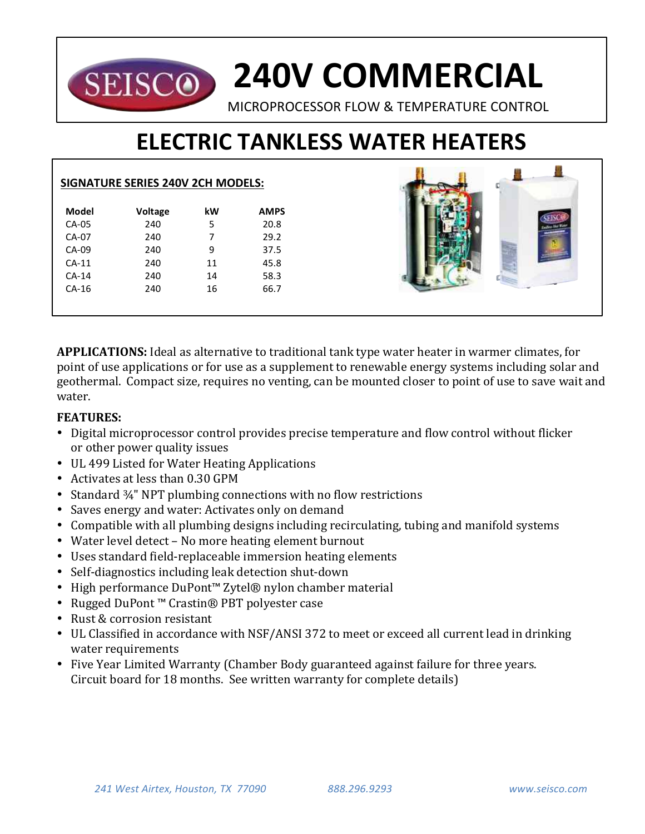# **240V COMMERCIAL SEISCO** MICROPROCESSOR FLOW & TEMPERATURE CONTROL

# **ELECTRIC TANKLESS WATER HEATERS**

# **SIGNATURE SERIES 240V 2CH MODELS:**

| Model   | <b>Voltage</b> | kW | <b>AMPS</b> |
|---------|----------------|----|-------------|
| $CA-05$ | 240            | 5  | 20.8        |
| CA-07   | 240            | 7  | 29.2        |
| $CA-09$ | 240            | 9  | 37.5        |
| $CA-11$ | 240            | 11 | 45.8        |
| $CA-14$ | 240            | 14 | 58.3        |
| $CA-16$ | 240            | 16 | 66.7        |
|         |                |    |             |
|         |                |    |             |

**APPLICATIONS:** Ideal as alternative to traditional tank type water heater in warmer climates, for point of use applications or for use as a supplement to renewable energy systems including solar and geothermal. Compact size, requires no venting, can be mounted closer to point of use to save wait and water.

## **FEATURES:**

- Digital microprocessor control provides precise temperature and flow control without flicker or other power quality issues
- UL 499 Listed for Water Heating Applications
- Activates at less than 0.30 GPM
- Standard  $\frac{3}{4}$ " NPT plumbing connections with no flow restrictions
- Saves energy and water: Activates only on demand
- Compatible with all plumbing designs including recirculating, tubing and manifold systems
- Water level detect No more heating element burnout
- Uses standard field-replaceable immersion heating elements
- Self-diagnostics including leak detection shut-down
- High performance DuPont™ Zytel® nylon chamber material
- Rugged DuPont™ Crastin® PBT polyester case
- Rust & corrosion resistant
- UL Classified in accordance with NSF/ANSI 372 to meet or exceed all current lead in drinking water requirements
- Five Year Limited Warranty (Chamber Body guaranteed against failure for three years. Circuit board for 18 months. See written warranty for complete details)